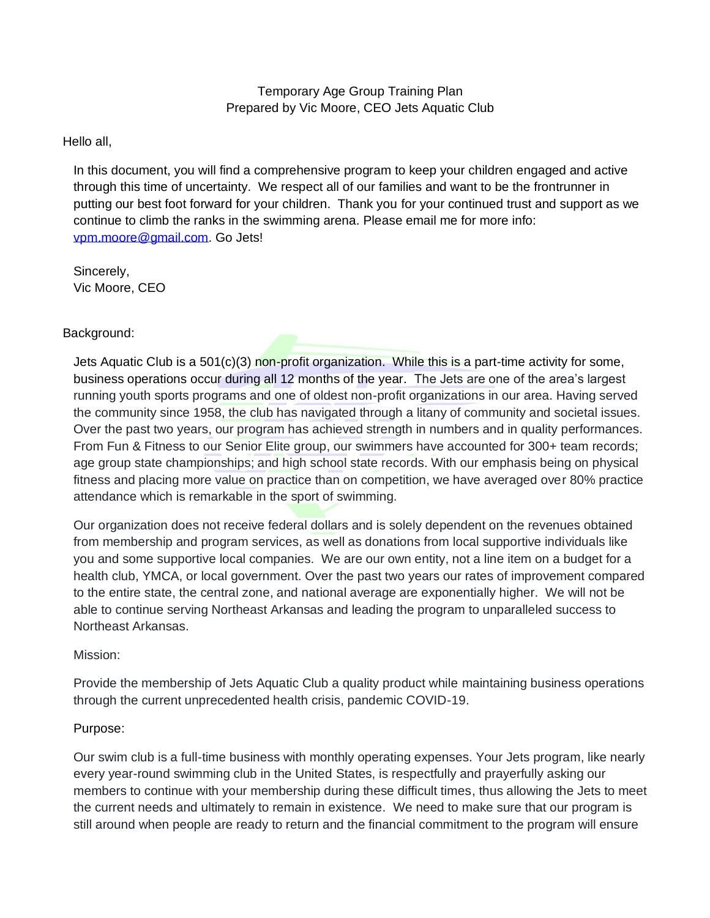# Temporary Age Group Training Plan Prepared by Vic Moore, CEO Jets Aquatic Club

## Hello all,

In this document, you will find a comprehensive program to keep your children engaged and active through this time of uncertainty. We respect all of our families and want to be the frontrunner in putting our best foot forward for your children. Thank you for your continued trust and support as we continue to climb the ranks in the swimming arena. Please email me for more info: [vpm.moore@gmail.com.](mailto:vpm.moore@gmail.com) Go Jets!

Sincerely, Vic Moore, CEO

# Background:

Jets Aquatic Club is a  $501(c)(3)$  non-profit organization. While this is a part-time activity for some, business operations occur during all 12 months of the year. The Jets are one of the area's largest running youth sports programs and one of oldest non-profit organizations in our area. Having served the community since 1958, the club has navigated through a litany of community and societal issues. Over the past two years, our program has achieved strength in numbers and in quality performances. From Fun & Fitness to our Senior Elite group, our swimmers have accounted for 300+ team records; age group state championships; and high school state records. With our emphasis being on physical fitness and placing more value on practice than on competition, we have averaged over 80% practice attendance which is remarkable in the sport of swimming.

Our organization does not receive federal dollars and is solely dependent on the revenues obtained from membership and program services, as well as donations from local supportive individuals like you and some supportive local companies. We are our own entity, not a line item on a budget for a health club, YMCA, or local government. Over the past two years our rates of improvement compared to the entire state, the central zone, and national average are exponentially higher. We will not be able to continue serving Northeast Arkansas and leading the program to unparalleled success to Northeast Arkansas.

#### Mission:

Provide the membership of Jets Aquatic Club a quality product while maintaining business operations through the current unprecedented health crisis, pandemic COVID-19.

#### Purpose:

Our swim club is a full-time business with monthly operating expenses. Your Jets program, like nearly every year-round swimming club in the United States, is respectfully and prayerfully asking our members to continue with your membership during these difficult times, thus allowing the Jets to meet the current needs and ultimately to remain in existence. We need to make sure that our program is still around when people are ready to return and the financial commitment to the program will ensure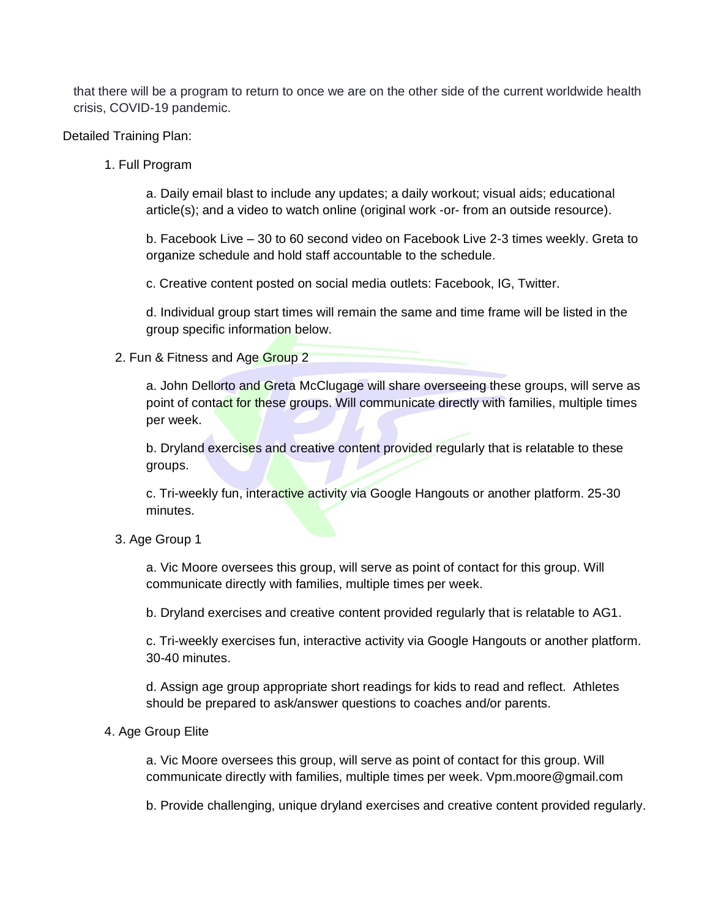that there will be a program to return to once we are on the other side of the current worldwide health crisis, COVID-19 pandemic.

Detailed Training Plan:

1. Full Program

a. Daily email blast to include any updates; a daily workout; visual aids; educational article(s); and a video to watch online (original work -or- from an outside resource).

b. Facebook Live – 30 to 60 second video on Facebook Live 2-3 times weekly. Greta to organize schedule and hold staff accountable to the schedule.

c. Creative content posted on social media outlets: Facebook, IG, Twitter.

d. Individual group start times will remain the same and time frame will be listed in the group specific information below.

2. Fun & Fitness and Age Group 2

a. John Dellorto and Greta McClugage will share overseeing these groups, will serve as point of contact for these groups. Will communicate directly with families, multiple times per week.

b. Dryland exercises and creative content provided regularly that is relatable to these groups.

c. Tri-weekly fun, interactive activity via Google Hangouts or another platform. 25-30 minutes.

#### 3. Age Group 1

a. Vic Moore oversees this group, will serve as point of contact for this group. Will communicate directly with families, multiple times per week.

b. Dryland exercises and creative content provided regularly that is relatable to AG1.

c. Tri-weekly exercises fun, interactive activity via Google Hangouts or another platform. 30-40 minutes.

d. Assign age group appropriate short readings for kids to read and reflect. Athletes should be prepared to ask/answer questions to coaches and/or parents.

#### 4. Age Group Elite

a. Vic Moore oversees this group, will serve as point of contact for this group. Will communicate directly with families, multiple times per week. Vpm.moore@gmail.com

b. Provide challenging, unique dryland exercises and creative content provided regularly.